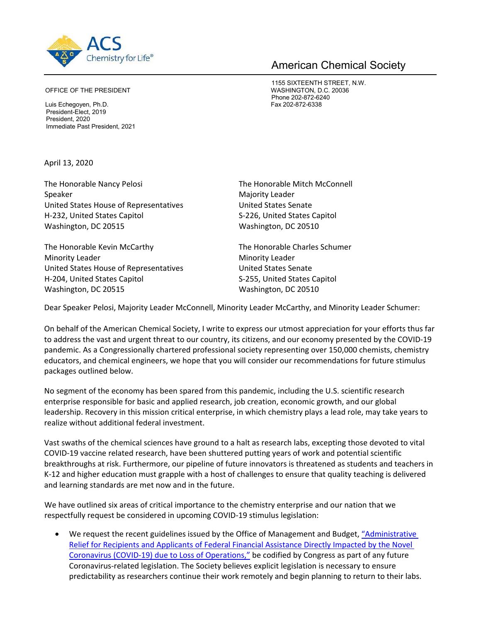

## American Chemical Society

1155 SIXTEENTH STREET, N.W. Phone 202-872-6240

OFFICE OF THE PRESIDENT **WASHINGTON, D.C. 20036** 

Luis Echegoyen, Ph.D. Fax 202-872-6338 President-Elect, 2019 President, 2020 Immediate Past President, 2021

April 13, 2020

The Honorable Nancy Pelosi The Honorable Mitch McConnell Speaker Majority Leader United States House of Representatives United States Senate H‐232, United States Capitol S‐226, United States Capitol Washington, DC 20515 Washington, DC 20510

The Honorable Kevin McCarthy The Honorable Charles Schumer Minority Leader **Minority Leader Ninority Leader** United States House of Representatives United States Senate H‐204, United States Capitol S‐255, United States Capitol Washington, DC 20515 Washington, DC 20510

Dear Speaker Pelosi, Majority Leader McConnell, Minority Leader McCarthy, and Minority Leader Schumer:

On behalf of the American Chemical Society, I write to express our utmost appreciation for your efforts thus far to address the vast and urgent threat to our country, its citizens, and our economy presented by the COVID‐19 pandemic. As a Congressionally chartered professional society representing over 150,000 chemists, chemistry educators, and chemical engineers, we hope that you will consider our recommendations for future stimulus packages outlined below.

No segment of the economy has been spared from this pandemic, including the U.S. scientific research enterprise responsible for basic and applied research, job creation, economic growth, and our global leadership. Recovery in this mission critical enterprise, in which chemistry plays a lead role, may take years to realize without additional federal investment.

Vast swaths of the chemical sciences have ground to a halt as research labs, excepting those devoted to vital COVID‐19 vaccine related research, have been shuttered putting years of work and potential scientific breakthroughs at risk. Furthermore, our pipeline of future innovators is threatened as students and teachers in K‐12 and higher education must grapple with a host of challenges to ensure that quality teaching is delivered and learning standards are met now and in the future.

We have outlined six areas of critical importance to the chemistry enterprise and our nation that we respectfully request be considered in upcoming COVID‐19 stimulus legislation:

 We request the recent guidelines issued by the Office of Management and Budget, ["Administrative](https://www.whitehouse.gov/wp-content/uploads/2020/03/M-20-17.pdf)  [Relief for Recipients and Applicants of Federal Financial Assistance Directly Impacted by the Novel](https://www.whitehouse.gov/wp-content/uploads/2020/03/M-20-17.pdf)  [Coronavirus \(COVID‐19\) due to Loss of Operations,"](https://www.whitehouse.gov/wp-content/uploads/2020/03/M-20-17.pdf) be codified by Congress as part of any future Coronavirus‐related legislation. The Society believes explicit legislation is necessary to ensure predictability as researchers continue their work remotely and begin planning to return to their labs.